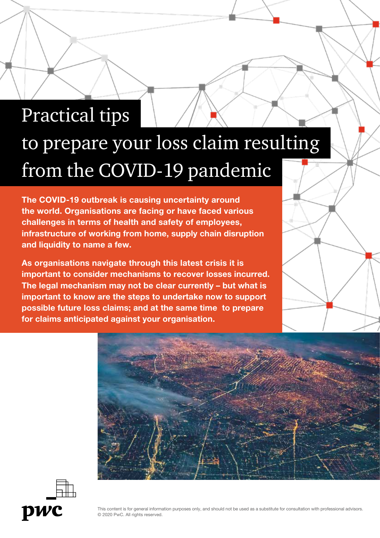# Practical tips to prepare your loss claim resulting from the COVID-19 pandemic

The COVID-19 outbreak is causing uncertainty around the world. Organisations are facing or have faced various challenges in terms of health and safety of employees, infrastructure of working from home, supply chain disruption and liquidity to name a few.

As organisations navigate through this latest crisis it is important to consider mechanisms to recover losses incurred. The legal mechanism may not be clear currently – but what is important to know are the steps to undertake now to support possible future loss claims; and at the same time to prepare for claims anticipated against your organisation.





This content is for general information purposes only, and should not be used as a substitute for consultation with professional advisors. © 2020 PwC. All rights reserved.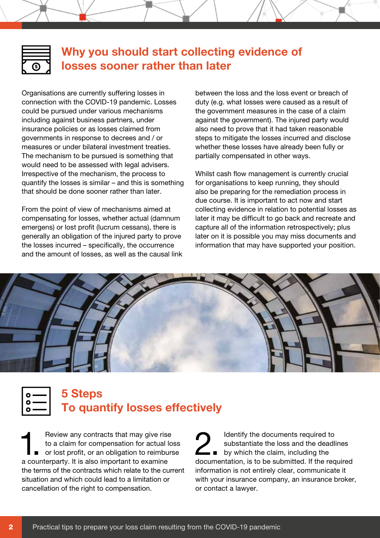

# **Why you should start collecting evidence of losses sooner rather than later**

Organisations are currently suffering losses in connection with the COVID-19 pandemic. Losses could be pursued under various mechanisms including against business partners, under insurance policies or as losses claimed from governments in response to decrees and / or measures or under bilateral investment treaties. The mechanism to be pursued is something that would need to be assessed with legal advisers. Irrespective of the mechanism, the process to quantify the losses is similar – and this is something that should be done sooner rather than later.

From the point of view of mechanisms aimed at compensating for losses, whether actual (damnum emergens) or lost profit (lucrum cessans), there is generally an obligation of the injured party to prove the losses incurred – specifically, the occurrence and the amount of losses, as well as the causal link

between the loss and the loss event or breach of duty (e.g. what losses were caused as a result of the government measures in the case of a claim against the government). The injured party would also need to prove that it had taken reasonable steps to mitigate the losses incurred and disclose whether these losses have already been fully or partially compensated in other ways.

Whilst cash flow management is currently crucial for organisations to keep running, they should also be preparing for the remediation process in due course. It is important to act now and start collecting evidence in relation to potential losses as later it may be difficult to go back and recreate and capture all of the information retrospectively; plus later on it is possible you may miss documents and information that may have supported your position.





1. Review any contracts that may give rise<br>to a claim for compensation for actual local port lost profit, or an obligation to reimburs to a claim for compensation for actual loss or lost profit, or an obligation to reimburse a counterparty. It is also important to examine the terms of the contracts which relate to the current situation and which could lead to a limitation or cancellation of the right to compensation.

2. Identify the documents required to substantiate the loss and the deadli<br>by which the claim, including the substantiate the loss and the deadlines documentation, is to be submitted. If the required information is not entirely clear, communicate it with your insurance company, an insurance broker, or contact a lawyer.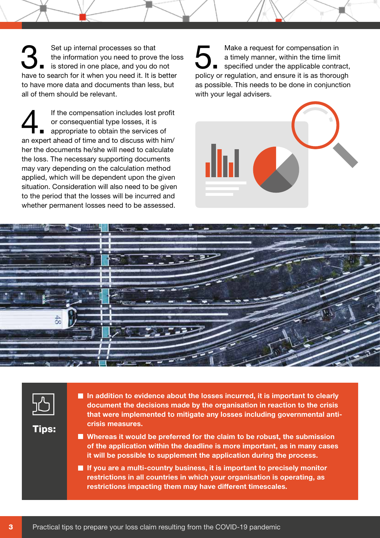Set up internal processes so that<br>the information you need to prove the<br>is stored in one place, and you do not the information you need to prove the loss have to search for it when you need it. It is better to have more data and documents than less, but all of them should be relevant.

If the compensation includes lost profit<br>
or consequential type losses, it is<br>
appropriate to obtain the services of or consequential type losses, it is an expert ahead of time and to discuss with him/ her the documents he/she will need to calculate the loss. The necessary supporting documents may vary depending on the calculation method applied, which will be dependent upon the given situation. Consideration will also need to be given to the period that the losses will be incurred and whether permanent losses need to be assessed.

Make a request for compensation in<br>
a timely manner, within the time limit<br>
specified under the applicable contract, a timely manner, within the time limit policy or regulation, and ensure it is as thorough as possible. This needs to be done in conjunction with your legal advisers.







Tips:

 In addition to evidence about the losses incurred, it is important to clearly document the decisions made by the organisation in reaction to the crisis that were implemented to mitigate any losses including governmental anticrisis measures.

 Whereas it would be preferred for the claim to be robust, the submission of the application within the deadline is more important, as in many cases it will be possible to supplement the application during the process.

If you are a multi-country business, it is important to precisely monitor restrictions in all countries in which your organisation is operating, as restrictions impacting them may have different timescales.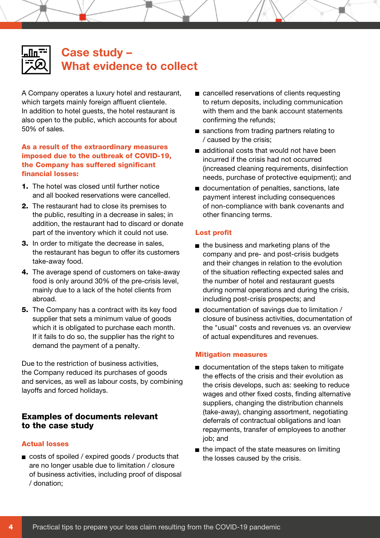| $\mathsf{I}$<br>H |  |
|-------------------|--|
| Г                 |  |
|                   |  |

# **Case study – What evidence to collect**

A Company operates a luxury hotel and restaurant, which targets mainly foreign affluent clientele. In addition to hotel guests, the hotel restaurant is also open to the public, which accounts for about 50% of sales.

#### As a result of the extraordinary measures imposed due to the outbreak of COVID-19, the Company has suffered significant financial losses:

- 1. The hotel was closed until further notice and all booked reservations were cancelled.
- 2. The restaurant had to close its premises to the public, resulting in a decrease in sales; in addition, the restaurant had to discard or donate part of the inventory which it could not use.
- **3.** In order to mitigate the decrease in sales, the restaurant has begun to offer its customers take-away food.
- 4. The average spend of customers on take-away food is only around 30% of the pre-crisis level, mainly due to a lack of the hotel clients from abroad.
- **5.** The Company has a contract with its key food supplier that sets a minimum value of goods which it is obligated to purchase each month. If it fails to do so, the supplier has the right to demand the payment of a penalty.

Due to the restriction of business activities, the Company reduced its purchases of goods and services, as well as labour costs, by combining layoffs and forced holidays.

## Examples of documents relevant to the case study

#### Actual losses

costs of spoiled / expired goods / products that are no longer usable due to limitation / closure of business activities, including proof of disposal / donation;

- cancelled reservations of clients requesting to return deposits, including communication with them and the bank account statements confirming the refunds;
- sanctions from trading partners relating to / caused by the crisis;
- additional costs that would not have been incurred if the crisis had not occurred (increased cleaning requirements, disinfection needs, purchase of protective equipment); and
- documentation of penalties, sanctions, late payment interest including consequences of non-compliance with bank covenants and other financing terms.

#### Lost profit

- $\blacksquare$  the business and marketing plans of the company and pre- and post-crisis budgets and their changes in relation to the evolution of the situation reflecting expected sales and the number of hotel and restaurant guests during normal operations and during the crisis, including post-crisis prospects; and
- $\blacksquare$  documentation of savings due to limitation / closure of business activities, documentation of the "usual" costs and revenues vs. an overview of actual expenditures and revenues.

#### Mitigation measures

- documentation of the steps taken to mitigate the effects of the crisis and their evolution as the crisis develops, such as: seeking to reduce wages and other fixed costs, finding alternative suppliers, changing the distribution channels (take-away), changing assortment, negotiating deferrals of contractual obligations and loan repayments, transfer of employees to another job; and
- $\blacksquare$  the impact of the state measures on limiting the losses caused by the crisis.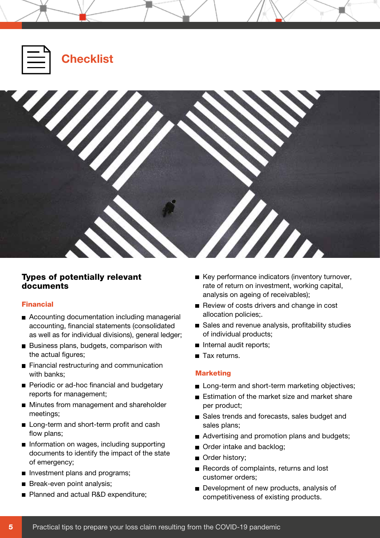

#### Types of potentially relevant documents

#### Financial

- Accounting documentation including managerial accounting, financial statements (consolidated as well as for individual divisions), general ledger;
- Business plans, budgets, comparison with the actual figures;
- **Financial restructuring and communication** with banks;
- **Periodic or ad-hoc financial and budgetary** reports for management;
- **Minutes from management and shareholder** meetings;
- Long-term and short-term profit and cash flow plans;
- Information on wages, including supporting documents to identify the impact of the state of emergency;
- Investment plans and programs;
- Break-even point analysis;
- Planned and actual R&D expenditure;
- Key performance indicators (inventory turnover, rate of return on investment, working capital, analysis on ageing of receivables);
- Review of costs drivers and change in cost allocation policies;.
- Sales and revenue analysis, profitability studies of individual products;
- Internal audit reports;
- Tax returns.

#### Marketing

- Long-term and short-term marketing objectives;
- Estimation of the market size and market share per product;
- Sales trends and forecasts, sales budget and sales plans;
- Advertising and promotion plans and budgets;
- Order intake and backlog;
- Order history;
- Records of complaints, returns and lost customer orders;
- Development of new products, analysis of competitiveness of existing products.